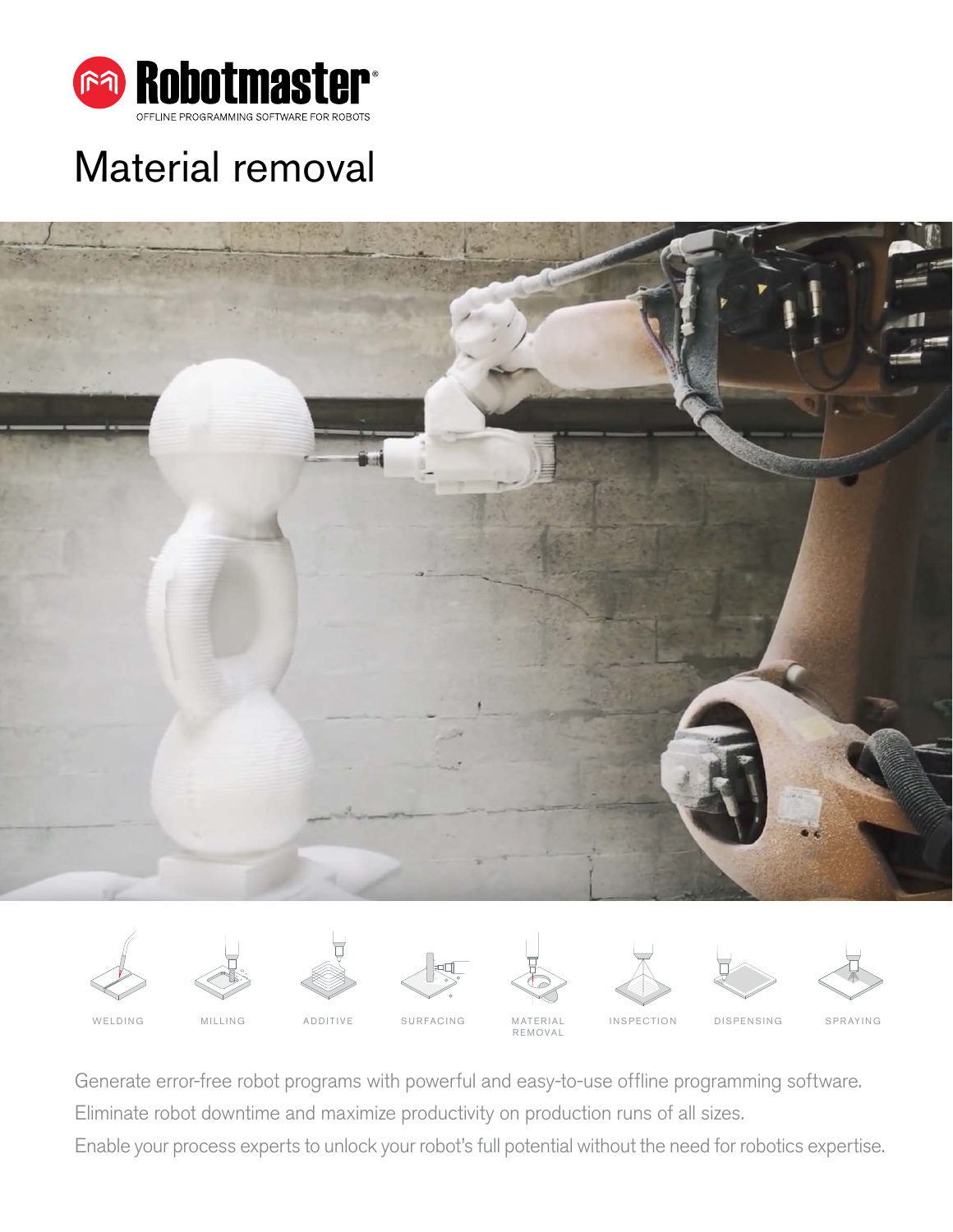

# Material removal























WELDING MILLING ADDITIVE SURFACING MATERIAL **REMOVAL** 

INSPECTION DISPENSING SPRAYING

Generate error-free robot programs with powerful and easy-to-use offline programming software.

Eliminate robot downtime and maximize productivity on production runs of all sizes.

Enable your process experts to unlock your robot's full potential without the need for robotics expertise.